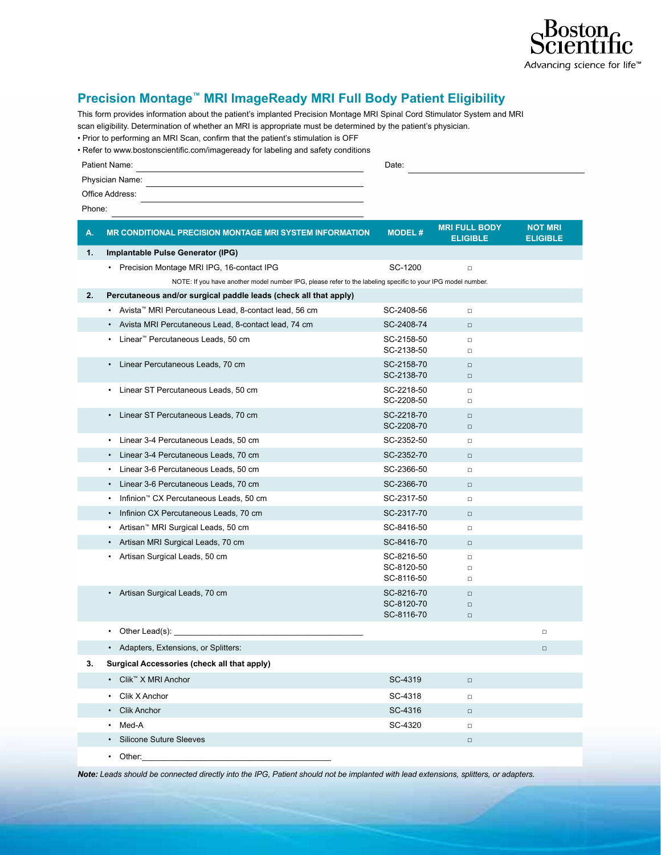

## **Precision Montage™ MRI ImageReady MRI Full Body Patient Eligibility**

This form provides information about the patient's implanted Precision Montage MRI Spinal Cord Stimulator System and MRI scan eligibility. Determination of whether an MRI is appropriate must be determined by the patient's physician.

• Prior to performing an MRI Scan, confirm that the patient's stimulation is OFF

| • Refer to www.bostonscientific.com/imageready for labeling and safety conditions |  |  |
|-----------------------------------------------------------------------------------|--|--|
|                                                                                   |  |  |

| Patient Name:   | Date: |
|-----------------|-------|
| Physician Name: |       |
| Office Address: |       |
| Phone:          |       |

| А. | <b>MR CONDITIONAL PRECISION MONTAGE MRI SYSTEM INFORMATION</b>                                              | <b>MODEL#</b>            | <b>MRI FULL BODY</b><br><b>ELIGIBLE</b> | <b>NOT MRI</b><br><b>ELIGIBLE</b> |
|----|-------------------------------------------------------------------------------------------------------------|--------------------------|-----------------------------------------|-----------------------------------|
| 1. | Implantable Pulse Generator (IPG)                                                                           |                          |                                         |                                   |
|    | • Precision Montage MRI IPG, 16-contact IPG                                                                 | SC-1200                  | $\Box$                                  |                                   |
|    | NOTE: If you have another model number IPG, please refer to the labeling specific to your IPG model number. |                          |                                         |                                   |
| 2. | Percutaneous and/or surgical paddle leads (check all that apply)                                            |                          |                                         |                                   |
|    | Avista™ MRI Percutaneous Lead, 8-contact lead, 56 cm<br>٠                                                   | SC-2408-56               | $\Box$                                  |                                   |
|    | Avista MRI Percutaneous Lead, 8-contact lead, 74 cm                                                         | SC-2408-74               | $\Box$                                  |                                   |
|    | Linear <sup>™</sup> Percutaneous Leads, 50 cm                                                               | SC-2158-50<br>SC-2138-50 | $\Box$<br>$\Box$                        |                                   |
|    | Linear Percutaneous Leads, 70 cm                                                                            | SC-2158-70<br>SC-2138-70 | $\Box$<br>$\Box$                        |                                   |
|    | Linear ST Percutaneous Leads, 50 cm<br>٠                                                                    | SC-2218-50<br>SC-2208-50 | $\Box$<br>$\Box$                        |                                   |
|    | • Linear ST Percutaneous Leads, 70 cm                                                                       | SC-2218-70<br>SC-2208-70 | $\Box$<br>$\Box$                        |                                   |
|    | Linear 3-4 Percutaneous Leads, 50 cm<br>٠                                                                   | SC-2352-50               | $\Box$                                  |                                   |
|    | Linear 3-4 Percutaneous Leads, 70 cm                                                                        | SC-2352-70               | $\Box$                                  |                                   |
|    | Linear 3-6 Percutaneous Leads, 50 cm                                                                        | SC-2366-50               | $\Box$                                  |                                   |
|    | Linear 3-6 Percutaneous Leads, 70 cm                                                                        | SC-2366-70               | $\Box$                                  |                                   |
|    | Infinion <sup>™</sup> CX Percutaneous Leads, 50 cm<br>٠                                                     | SC-2317-50               | $\Box$                                  |                                   |
|    | Infinion CX Percutaneous Leads, 70 cm<br>٠                                                                  | SC-2317-70               | $\Box$                                  |                                   |
|    | Artisan <sup>™</sup> MRI Surgical Leads, 50 cm                                                              | SC-8416-50               | $\Box$                                  |                                   |
|    | Artisan MRI Surgical Leads, 70 cm                                                                           | SC-8416-70               | $\Box$                                  |                                   |
|    | Artisan Surgical Leads, 50 cm                                                                               | SC-8216-50               | $\Box$                                  |                                   |
|    |                                                                                                             | SC-8120-50<br>SC-8116-50 | $\Box$<br>$\Box$                        |                                   |
|    | • Artisan Surgical Leads, 70 cm                                                                             | SC-8216-70               | $\Box$                                  |                                   |
|    |                                                                                                             | SC-8120-70               | $\Box$                                  |                                   |
|    |                                                                                                             | SC-8116-70               | $\Box$                                  |                                   |
|    | Other Lead(s):<br>$\bullet$                                                                                 |                          |                                         | $\Box$                            |
|    | • Adapters, Extensions, or Splitters:                                                                       |                          |                                         | $\Box$                            |
| 3. | Surgical Accessories (check all that apply)                                                                 |                          |                                         |                                   |
|    | • Clik™ X MRI Anchor                                                                                        | SC-4319                  | $\Box$                                  |                                   |
|    | Clik X Anchor                                                                                               | SC-4318                  | $\Box$                                  |                                   |
|    | <b>Clik Anchor</b>                                                                                          | SC-4316                  | $\Box$                                  |                                   |
|    | Med-A                                                                                                       | SC-4320                  | $\Box$                                  |                                   |
|    | <b>Silicone Suture Sleeves</b>                                                                              |                          | $\Box$                                  |                                   |
|    | Other:<br>$\bullet$                                                                                         |                          |                                         |                                   |

*Note: Leads should be connected directly into the IPG, Patient should not be implanted with lead extensions, splitters, or adapters.*